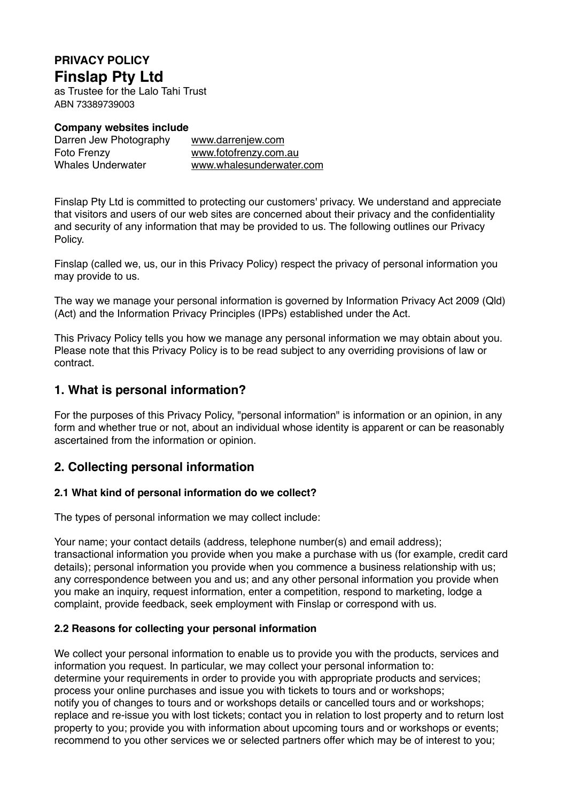# **PRIVACY POLICY Finslap Pty Ltd**

as Trustee for the Lalo Tahi Trust ABN 73389739003

**Company websites include**

Darren Jew Photography [www.darrenjew.com](http://www.darrenjew.com) Foto Frenzy [www.fotofrenzy.com.au](http://www.fotofrenzy.com.au)<br>
Whales Underwater www.whalesunderwater

[www.whalesunderwater.com](http://www.whalesunderwater.com)

Finslap Pty Ltd is committed to protecting our customers' privacy. We understand and appreciate that visitors and users of our web sites are concerned about their privacy and the confidentiality and security of any information that may be provided to us. The following outlines our Privacy Policy.

Finslap (called we, us, our in this Privacy Policy) respect the privacy of personal information you may provide to us.

The way we manage your personal information is governed by Information Privacy Act 2009 (Qld) (Act) and the Information Privacy Principles (IPPs) established under the Act.

This Privacy Policy tells you how we manage any personal information we may obtain about you. Please note that this Privacy Policy is to be read subject to any overriding provisions of law or contract.

### **1. What is personal information?**

For the purposes of this Privacy Policy, "personal information" is information or an opinion, in any form and whether true or not, about an individual whose identity is apparent or can be reasonably ascertained from the information or opinion.

# **2. Collecting personal information**

### **2.1 What kind of personal information do we collect?**

The types of personal information we may collect include:

Your name; your contact details (address, telephone number(s) and email address); transactional information you provide when you make a purchase with us (for example, credit card details); personal information you provide when you commence a business relationship with us; any correspondence between you and us; and any other personal information you provide when you make an inquiry, request information, enter a competition, respond to marketing, lodge a complaint, provide feedback, seek employment with Finslap or correspond with us.

### **2.2 Reasons for collecting your personal information**

We collect your personal information to enable us to provide you with the products, services and information you request. In particular, we may collect your personal information to: determine your requirements in order to provide you with appropriate products and services; process your online purchases and issue you with tickets to tours and or workshops; notify you of changes to tours and or workshops details or cancelled tours and or workshops; replace and re-issue you with lost tickets; contact you in relation to lost property and to return lost property to you; provide you with information about upcoming tours and or workshops or events; recommend to you other services we or selected partners offer which may be of interest to you;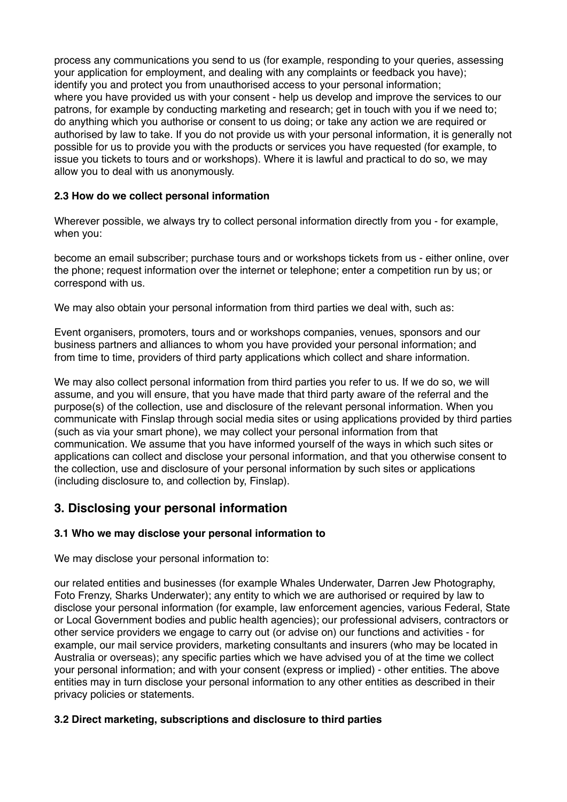process any communications you send to us (for example, responding to your queries, assessing your application for employment, and dealing with any complaints or feedback you have); identify you and protect you from unauthorised access to your personal information; where you have provided us with your consent - help us develop and improve the services to our patrons, for example by conducting marketing and research; get in touch with you if we need to; do anything which you authorise or consent to us doing; or take any action we are required or authorised by law to take. If you do not provide us with your personal information, it is generally not possible for us to provide you with the products or services you have requested (for example, to issue you tickets to tours and or workshops). Where it is lawful and practical to do so, we may allow you to deal with us anonymously.

### **2.3 How do we collect personal information**

Wherever possible, we always try to collect personal information directly from you - for example, when you:

become an email subscriber; purchase tours and or workshops tickets from us - either online, over the phone; request information over the internet or telephone; enter a competition run by us; or correspond with us.

We may also obtain your personal information from third parties we deal with, such as:

Event organisers, promoters, tours and or workshops companies, venues, sponsors and our business partners and alliances to whom you have provided your personal information; and from time to time, providers of third party applications which collect and share information.

We may also collect personal information from third parties you refer to us. If we do so, we will assume, and you will ensure, that you have made that third party aware of the referral and the purpose(s) of the collection, use and disclosure of the relevant personal information. When you communicate with Finslap through social media sites or using applications provided by third parties (such as via your smart phone), we may collect your personal information from that communication. We assume that you have informed yourself of the ways in which such sites or applications can collect and disclose your personal information, and that you otherwise consent to the collection, use and disclosure of your personal information by such sites or applications (including disclosure to, and collection by, Finslap).

# **3. Disclosing your personal information**

### **3.1 Who we may disclose your personal information to**

We may disclose your personal information to:

our related entities and businesses (for example Whales Underwater, Darren Jew Photography, Foto Frenzy, Sharks Underwater); any entity to which we are authorised or required by law to disclose your personal information (for example, law enforcement agencies, various Federal, State or Local Government bodies and public health agencies); our professional advisers, contractors or other service providers we engage to carry out (or advise on) our functions and activities - for example, our mail service providers, marketing consultants and insurers (who may be located in Australia or overseas); any specific parties which we have advised you of at the time we collect your personal information; and with your consent (express or implied) - other entities. The above entities may in turn disclose your personal information to any other entities as described in their privacy policies or statements.

#### **3.2 Direct marketing, subscriptions and disclosure to third parties**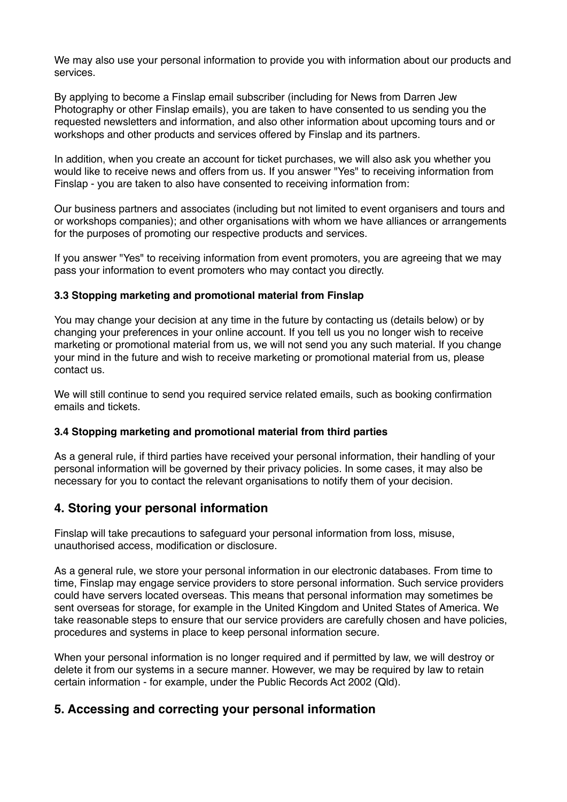We may also use your personal information to provide you with information about our products and services.

By applying to become a Finslap email subscriber (including for News from Darren Jew Photography or other Finslap emails), you are taken to have consented to us sending you the requested newsletters and information, and also other information about upcoming tours and or workshops and other products and services offered by Finslap and its partners.

In addition, when you create an account for ticket purchases, we will also ask you whether you would like to receive news and offers from us. If you answer "Yes" to receiving information from Finslap - you are taken to also have consented to receiving information from:

Our business partners and associates (including but not limited to event organisers and tours and or workshops companies); and other organisations with whom we have alliances or arrangements for the purposes of promoting our respective products and services.

If you answer "Yes" to receiving information from event promoters, you are agreeing that we may pass your information to event promoters who may contact you directly.

#### **3.3 Stopping marketing and promotional material from Finslap**

You may change your decision at any time in the future by contacting us (details below) or by changing your preferences in your online account. If you tell us you no longer wish to receive marketing or promotional material from us, we will not send you any such material. If you change your mind in the future and wish to receive marketing or promotional material from us, please contact us.

We will still continue to send you required service related emails, such as booking confirmation emails and tickets.

#### **3.4 Stopping marketing and promotional material from third parties**

As a general rule, if third parties have received your personal information, their handling of your personal information will be governed by their privacy policies. In some cases, it may also be necessary for you to contact the relevant organisations to notify them of your decision.

### **4. Storing your personal information**

Finslap will take precautions to safeguard your personal information from loss, misuse, unauthorised access, modification or disclosure.

As a general rule, we store your personal information in our electronic databases. From time to time, Finslap may engage service providers to store personal information. Such service providers could have servers located overseas. This means that personal information may sometimes be sent overseas for storage, for example in the United Kingdom and United States of America. We take reasonable steps to ensure that our service providers are carefully chosen and have policies, procedures and systems in place to keep personal information secure.

When your personal information is no longer required and if permitted by law, we will destroy or delete it from our systems in a secure manner. However, we may be required by law to retain certain information - for example, under the Public Records Act 2002 (Qld).

### **5. Accessing and correcting your personal information**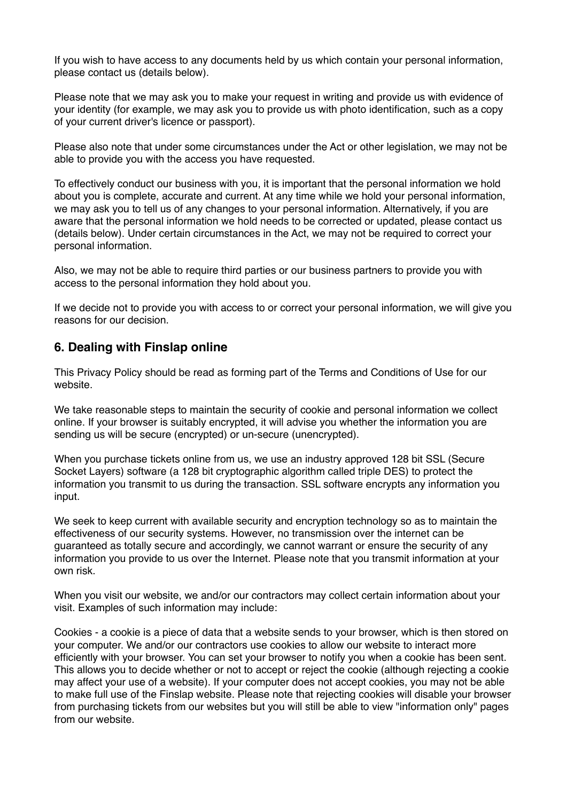If you wish to have access to any documents held by us which contain your personal information, please contact us (details below).

Please note that we may ask you to make your request in writing and provide us with evidence of your identity (for example, we may ask you to provide us with photo identification, such as a copy of your current driver's licence or passport).

Please also note that under some circumstances under the Act or other legislation, we may not be able to provide you with the access you have requested.

To effectively conduct our business with you, it is important that the personal information we hold about you is complete, accurate and current. At any time while we hold your personal information, we may ask you to tell us of any changes to your personal information. Alternatively, if you are aware that the personal information we hold needs to be corrected or updated, please contact us (details below). Under certain circumstances in the Act, we may not be required to correct your personal information.

Also, we may not be able to require third parties or our business partners to provide you with access to the personal information they hold about you.

If we decide not to provide you with access to or correct your personal information, we will give you reasons for our decision.

### **6. Dealing with Finslap online**

This Privacy Policy should be read as forming part of the Terms and Conditions of Use for our website.

We take reasonable steps to maintain the security of cookie and personal information we collect online. If your browser is suitably encrypted, it will advise you whether the information you are sending us will be secure (encrypted) or un-secure (unencrypted).

When you purchase tickets online from us, we use an industry approved 128 bit SSL (Secure Socket Layers) software (a 128 bit cryptographic algorithm called triple DES) to protect the information you transmit to us during the transaction. SSL software encrypts any information you input.

We seek to keep current with available security and encryption technology so as to maintain the effectiveness of our security systems. However, no transmission over the internet can be guaranteed as totally secure and accordingly, we cannot warrant or ensure the security of any information you provide to us over the Internet. Please note that you transmit information at your own risk.

When you visit our website, we and/or our contractors may collect certain information about your visit. Examples of such information may include:

Cookies - a cookie is a piece of data that a website sends to your browser, which is then stored on your computer. We and/or our contractors use cookies to allow our website to interact more efficiently with your browser. You can set your browser to notify you when a cookie has been sent. This allows you to decide whether or not to accept or reject the cookie (although rejecting a cookie may affect your use of a website). If your computer does not accept cookies, you may not be able to make full use of the Finslap website. Please note that rejecting cookies will disable your browser from purchasing tickets from our websites but you will still be able to view "information only" pages from our website.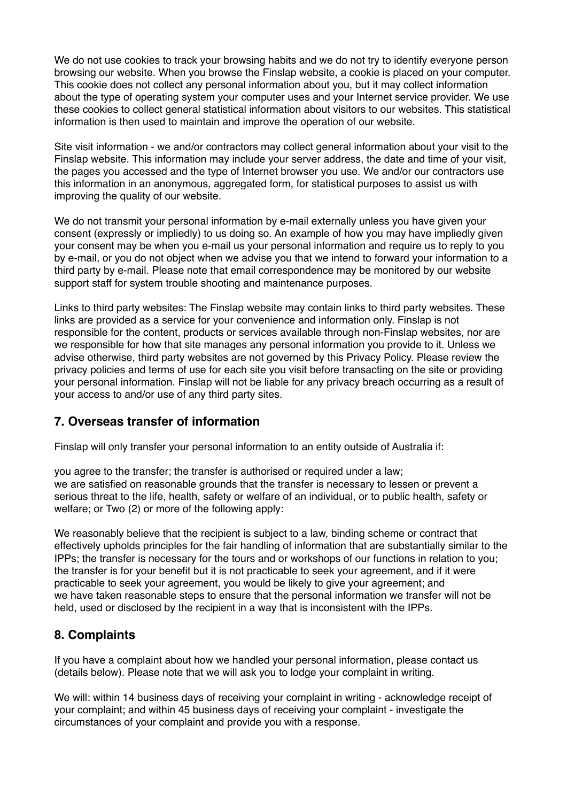We do not use cookies to track your browsing habits and we do not try to identify everyone person browsing our website. When you browse the Finslap website, a cookie is placed on your computer. This cookie does not collect any personal information about you, but it may collect information about the type of operating system your computer uses and your Internet service provider. We use these cookies to collect general statistical information about visitors to our websites. This statistical information is then used to maintain and improve the operation of our website.

Site visit information - we and/or contractors may collect general information about your visit to the Finslap website. This information may include your server address, the date and time of your visit, the pages you accessed and the type of Internet browser you use. We and/or our contractors use this information in an anonymous, aggregated form, for statistical purposes to assist us with improving the quality of our website.

We do not transmit your personal information by e-mail externally unless you have given your consent (expressly or impliedly) to us doing so. An example of how you may have impliedly given your consent may be when you e-mail us your personal information and require us to reply to you by e-mail, or you do not object when we advise you that we intend to forward your information to a third party by e-mail. Please note that email correspondence may be monitored by our website support staff for system trouble shooting and maintenance purposes.

Links to third party websites: The Finslap website may contain links to third party websites. These links are provided as a service for your convenience and information only. Finslap is not responsible for the content, products or services available through non-Finslap websites, nor are we responsible for how that site manages any personal information you provide to it. Unless we advise otherwise, third party websites are not governed by this Privacy Policy. Please review the privacy policies and terms of use for each site you visit before transacting on the site or providing your personal information. Finslap will not be liable for any privacy breach occurring as a result of your access to and/or use of any third party sites.

# **7. Overseas transfer of information**

Finslap will only transfer your personal information to an entity outside of Australia if:

you agree to the transfer; the transfer is authorised or required under a law; we are satisfied on reasonable grounds that the transfer is necessary to lessen or prevent a serious threat to the life, health, safety or welfare of an individual, or to public health, safety or welfare; or Two (2) or more of the following apply:

We reasonably believe that the recipient is subject to a law, binding scheme or contract that effectively upholds principles for the fair handling of information that are substantially similar to the IPPs; the transfer is necessary for the tours and or workshops of our functions in relation to you; the transfer is for your benefit but it is not practicable to seek your agreement, and if it were practicable to seek your agreement, you would be likely to give your agreement; and we have taken reasonable steps to ensure that the personal information we transfer will not be held, used or disclosed by the recipient in a way that is inconsistent with the IPPs.

# **8. Complaints**

If you have a complaint about how we handled your personal information, please contact us (details below). Please note that we will ask you to lodge your complaint in writing.

We will: within 14 business days of receiving your complaint in writing - acknowledge receipt of your complaint; and within 45 business days of receiving your complaint - investigate the circumstances of your complaint and provide you with a response.